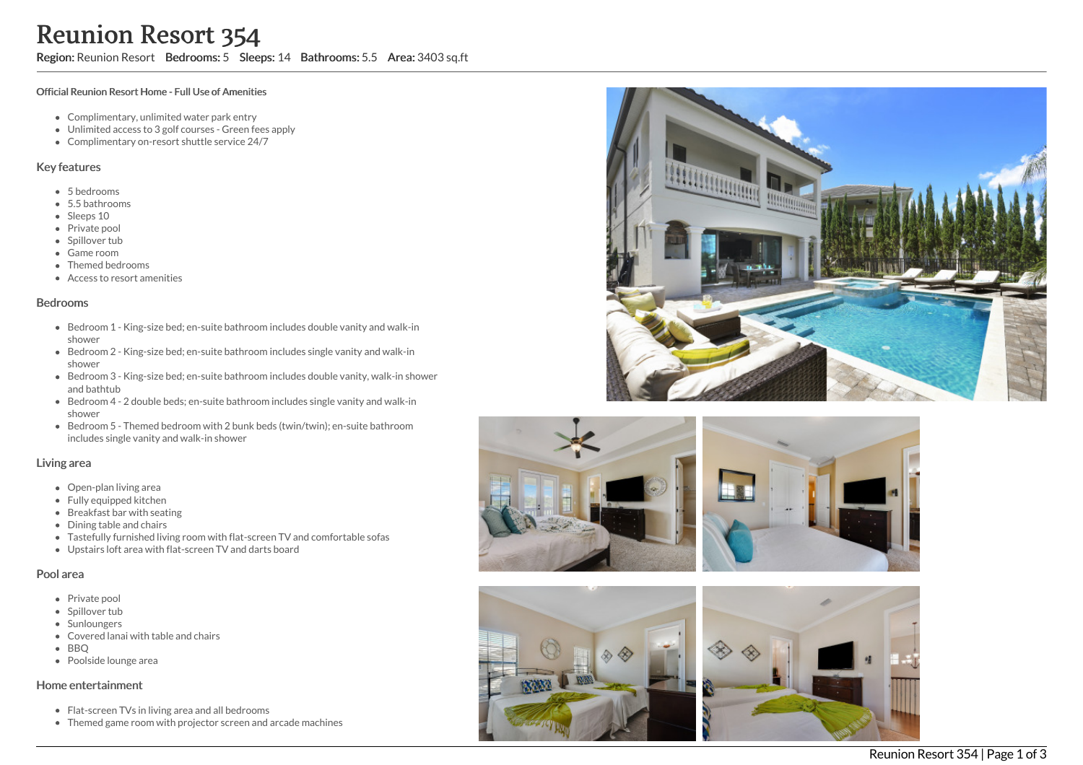Region: Reunion Resort Bedrooms: 5 Sleeps: 14 Bathrooms: 5.5 Area: 3403 sq.ft

#### Official Reunion Resort Home - Full Use of Amenities

- Complimentary, unlimited water park entry
- Unlimited access to 3 golf courses Green fees apply
- Complimentary on-resort shuttle service 24/7

### Key features

- 5 b e d r o o m s
- 5.5 b a t h r o o m s
- Sleeps 10
- Private pool
- Spillover tub
- Game room
- Themed bedr o o m s
- Access to resort amenities

#### **Bedrooms**

- Bedroom 1 King-size bed; en-suite bathroom includes double vanity and walk-in s h o w e r
- Bedroom 2 King-size bed; en-suite bathroom includes single vanity and walk-in s h o w e r
- Bedroom 3 King-size bed; en-suite bathroom includes double vanity, walk-in shower and bathtub
- Bedroom 4 2 double beds; en-suite bathroom includes single vanity and walk-in s h o w e r
- Bedroom 5 Themed bedroom with 2 bunk beds (twin/twin); en-suite bathroom includes single vanity and walk-in shower

### Living area

- Open-plan living area
- Fully equipped kitchen
- Breakfast bar with seating
- Dining table and chairs
- Tastefully furnished living room with flat-screen TV and comfortable sofas
- Upstairs loft area with flat-screen TV and darts board

#### Pool area

- Private pool
- Spillover tub
- Sunloungers
- Covered lanai with table and chairs
- B B Q
- Poolside lounge area

### Home entertainment

- Flat-screen TVs in living area and all bedrooms
- Themed game room with projector screen and arcade machines







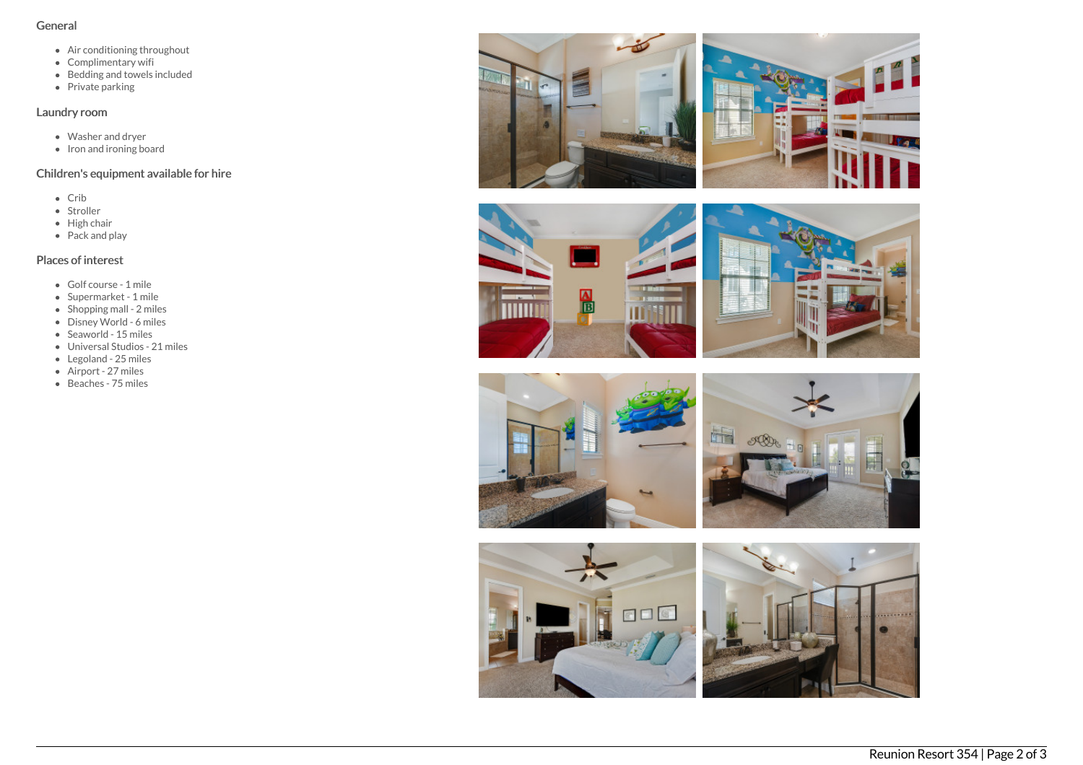## General

- Air conditioning throughout
- Complimentary wifi
- Bedding and towels included
- Private parking

# Laundry room

- Washer and dryer
- Iron and ironing board

# Children's equipment available for hire

- Crib
- Stroller
- $\bullet$  High chair
- $\bullet$  Pack and play

# Places of interest

- Golf course 1 mile
- Supermarket 1 mile
- Shopping mall 2 miles
- Disney World 6 miles
- $\bullet$  Seaworld 15 miles
- Universal Studios 21 miles
- Legoland 25 miles
- Airport 27 miles
- Beaches 75 miles